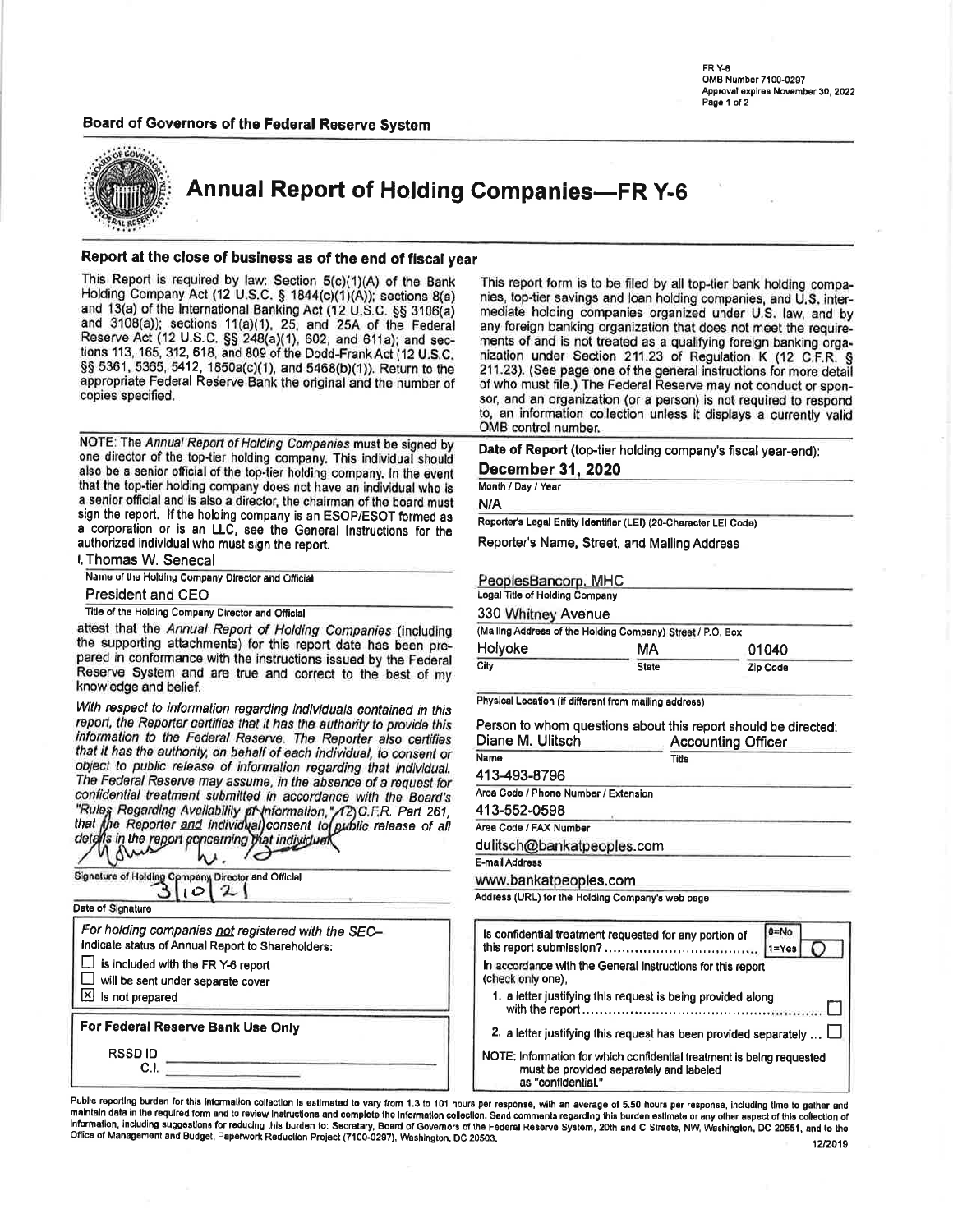FR<sub>Y-8</sub> OMB Number 7100-0297 Approval expires November 30, 2022 Page 1 of 2

# Board of Governors of the Federal Reserve System



**Annual Report of Holding Companies-FR Y-6** 

#### Report at the close of business as of the end of fiscal year

This Report is required by law: Section 5(c)(1)(A) of the Bank<br>Holding Company Act (12 U.S.C. § 1844(c)(1)(A)); sections 8(a) and 13(a) of the International Banking Act (12 U.S.C. §§ 3106(a) and 3108(a)); sections 11(a)(1), 25, and 25A of the Federal Reserve Act (12 U.S.C. §§ 248(a)(1), 602, and 611a); and sections 113, 165, 312, 618, and 809 of the Dodd-Frank Act (12 U.S.C. §§ 5361, 5365, 5412, 1850a(c)(1), and 5468(b)(1)). Return to the appropriate Federal Reserve Bank the original and the number of copies specified.

NOTE: The Annual Report of Holding Companies must be signed by one director of the top-tier holding company. This individual should also be a senior official of the top-tier holding company. In the event that the top-tier holding company does not have an individual who is a senior official and is also a director, the chairman of the board must sign the report. If the holding company is an ESOP/ESOT formed as a corporation or is an LLC, see the General Instructions for the authorized individual who must sign the report.

I. Thomas W. Senecal

Name of the Holding Company Director and Official

**President and CEO** 

Title of the Holding Company Director and Official

attest that the Annual Report of Holding Companies (including the supporting attachments) for this report date has been prepared in conformance with the instructions issued by the Federal Reserve System and are true and correct to the best of my knowledge and belief.

With respect to information regarding individuals contained in this report, the Reporter certifies that it has the authority to provide this information to the Federal Reserve. The Reporter also certifies that it has the authority, on behalf of each individual, to consent or object to public release of information regarding that individual. The Federal Reserve may assume, in the absence of a request for confidential treatment submitted in accordance with the Board's "Rules Regarding Availability of Information," /2) C.F.R. Part 261,<br>that the Reporter and individual consent to public release of all<br>details in the report poncerning that individual

| Signature of Holding Company Director and Official                                                                                                                                                    | $\circ$ |  |  |
|-------------------------------------------------------------------------------------------------------------------------------------------------------------------------------------------------------|---------|--|--|
| Date of Signature                                                                                                                                                                                     |         |  |  |
| For holding companies not registered with the SEC-<br>Indicate status of Annual Report to Shareholders:<br>is included with the FR Y-6 report<br>will be sent under separate cover<br>Is not prepared |         |  |  |
| For Federal Reserve Bank Use Only                                                                                                                                                                     |         |  |  |
| <b>RSSDID</b><br>C.I                                                                                                                                                                                  |         |  |  |

This report form is to be filed by all top-tier bank holding companies, top-tier savings and loan holding companies, and U.S. intermediate holding companies organized under U.S. law, and by any foreign banking organization that does not meet the requirements of and is not treated as a qualifying foreign banking organization under Section 211.23 of Regulation K (12 C.F.R. § 211.23). (See page one of the general instructions for more detail of who must file.) The Federal Reserve may not conduct or sponsor, and an organization (or a person) is not required to respond to, an information collection unless it displays a currently valid OMB control number.

| Date of Report (top-tier holding company's fiscal year-end): |  |  |
|--------------------------------------------------------------|--|--|
| December 31, 2020                                            |  |  |

#### Month / Day / Year

N/A

Reporter's Legal Entity Identifier (LEI) (20-Character LEI Code)

Reporter's Name, Street, and Mailing Address

| PeoplesBancorp, MHC            |                                                            |          |
|--------------------------------|------------------------------------------------------------|----------|
| Legal Title of Holding Company |                                                            |          |
| 330 Whitney Avenue             |                                                            |          |
|                                | (Malling Address of the Holding Company) Street / P.O. Box |          |
| Holyoke                        | МA                                                         | 01040    |
| City                           | <b>State</b>                                               | Zip Code |

Physical Location (if different from mailing address)

Person to whom questions about this report should be directed: Diane M. Ulitsch **Accounting Officer** 

| Name                                 | Title |
|--------------------------------------|-------|
| 413-493-8796                         |       |
| Area Code / Phone Number / Extension |       |
| 413-552-0598                         |       |
| Area Code / FAX Number               |       |
| dulitsch@bankatpeoples.com           |       |
| E-mail Address                       |       |
| www.bankatpeoples.com                |       |
|                                      |       |

Address (URL) for the Holding Company's web page

| Is confidential treatment requested for any portion of                                                                                 | $0 = No$<br>$1 = Yes$ |
|----------------------------------------------------------------------------------------------------------------------------------------|-----------------------|
| In accordance with the General Instructions for this report<br>(check only one).                                                       |                       |
| 1. a letter justifying this request is being provided along                                                                            |                       |
| 2. a letter justifying this request has been provided separately                                                                       |                       |
| NOTE: Information for which confidential treatment is being requested<br>must be provided separately and labeled<br>ac "confidential " |                       |

Public reporting burden for this informalion collection is estimated to vary from 1.3 to 101 hours per response, with an average of 5.50 hours per response, including time to gather and maintain data in the required form and to review instructions and complete the information collection. Send comments regarding this burden estimate or any other aspect of this collection of Information, including suggestions for reducing this burden to: Secretary, Board of Governors of the Federal Reserve System, 20th and C Streets, NW, Washington, DC 20551, and to the Office of Management and Budget, Paperwork Reduction Project (7100-0297), Washington, DC 20503, 12/2019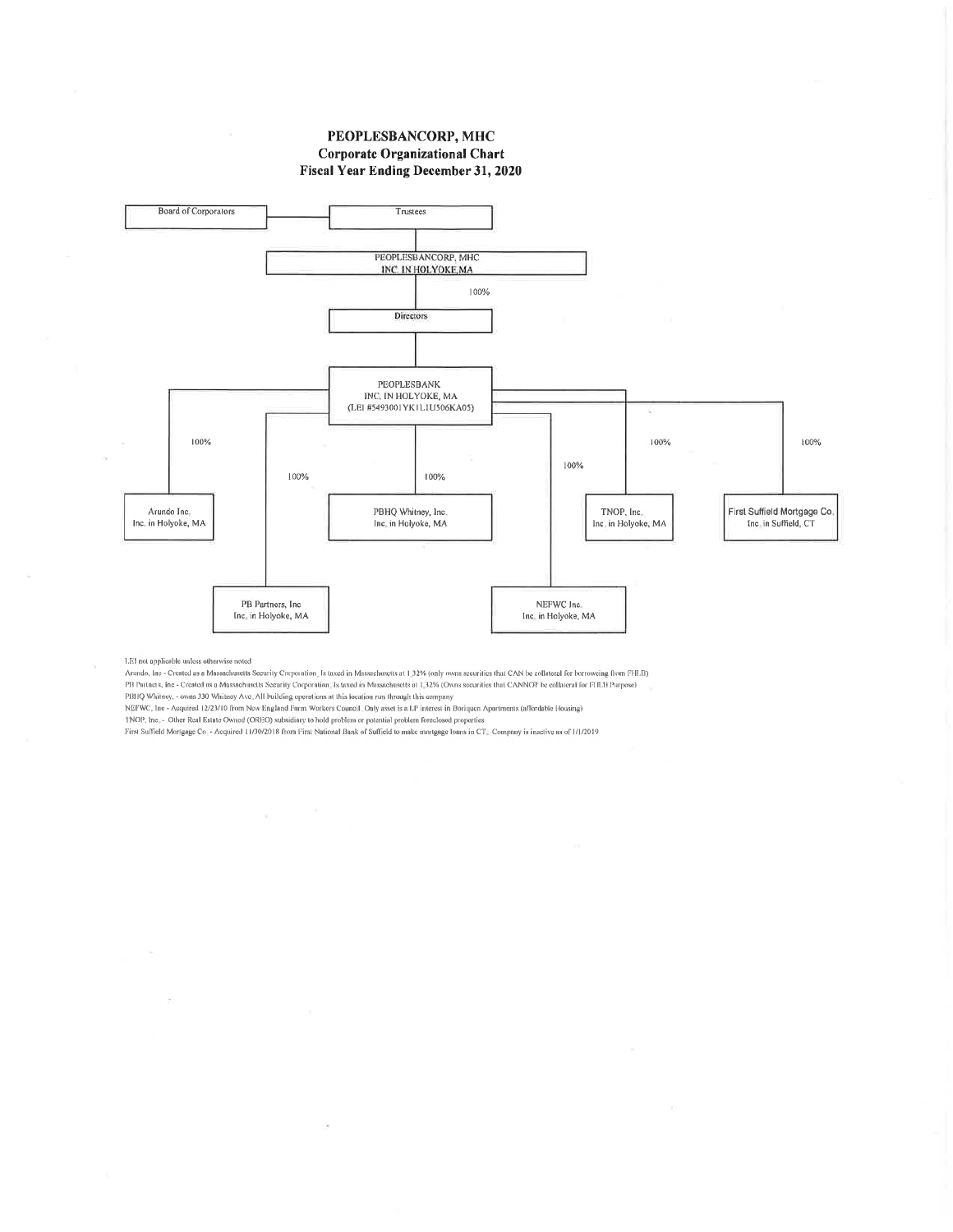#### PEOPLESBANCORP, MHC **Corporate Organizational Chart** Fiscal Year Ending December 31, 2020



LEI not applicable unless otherwise noted

Arundo, Inc - Created as a Massachusetts Security Corporation, Is taxed in Massachusetts at 1,32% (only owns securities that CAN be collateral for borroweing from FHLB) PB Partners, Inc - Created as a Massachusetts Security Corporation 1s taxed in Massachusetts at 1,32% (Owns securities that CANNOT be collateral for FHLB Purpose) PBHQ Whitney, - owns 330 Whitney Ave. All building operations at this location run through this company

NEFWC, Ine - Acquired 12/23/10 from New England Farm Workers Council. Only asset is a LP interest in Boriquen Apartments (affordable Housing)

TNOP, Inc. - Other Real Estate Owned (OREO) subsidiary to hold problem or potential problem foreclosed properties

×.

First Suffield Mortgage Co. - Acquired 11/30/2018 from First National Bank of Suffield to make mortgage loans in CT. Company is inactive as of 1/1/2019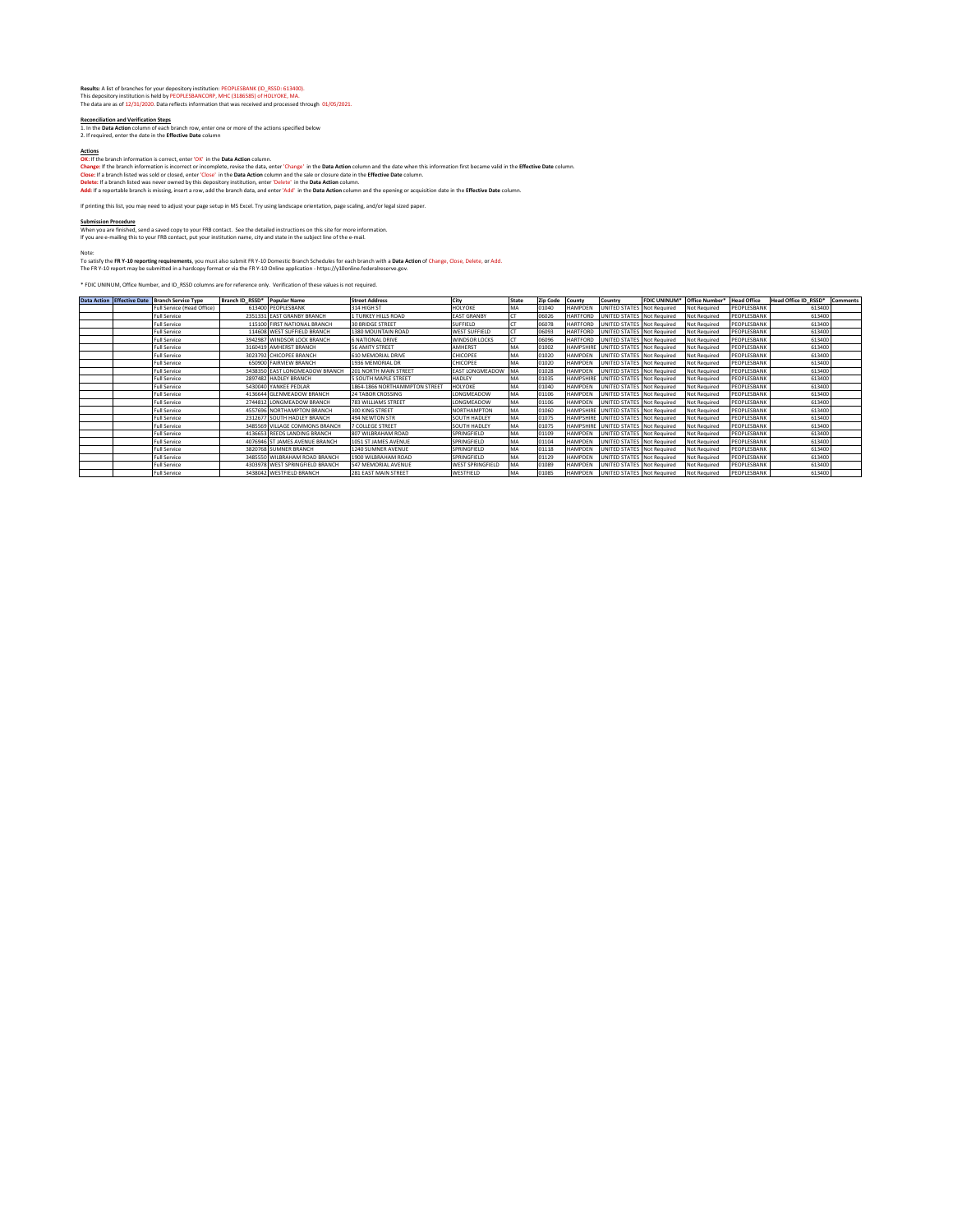Results: A list of branches for your depository institution: PEOPLESBANK (ID\_RSSD: 613400).<br>This depository institution is held by PEOPLESBANCORP, MHC (3186585) of HOLYOKE, MA.<br>The data are as of 12/31/2020. Data reflects

**Reconciliation and Verification Steps**<br>1. In the <mark>Data Action column of each branch row, enter one or more of the actions specified below<br>2. If required, enter the date in the **Effective Date** column</mark>

Addens<br>Cherithe branch information is correct, enter 'OK' in the Data Addoncolumn. The Data Addoncolumn and the date when this information first became valid in the Effective Date column.<br>Close: If a branch listed was sold

If printing this list, you may need to adjust your page setup in MS Excel. Try using landscape orientation, page scaling, and/or legal sized paper.

<u>Submission Procedure</u><br>When you are finished, send a saved copy to your FRB contact. See the detailed instructions on this site for more information<br>If you are e-mailing this to your FRB contact, put your institution name,

Note:<br>To satisfy the F**R Y-10 reporting requirements**, you must also submit FR Y-10 Domestic Branch Schedules for each branch with a D**ata Action** of Change, Close, Delete, or Add<br>The FR Y-10 report may be submitted in a h

\* FDIC UNINUM, Office Number, and ID\_RSSD columns are for reference only. Verification of these values is not required.

| Data Action Effective Date Branch Service Type | Branch ID RSSD* | <b>Popular Name</b>             | <b>Street Address</b>         | City                    | State | <b>Zip Code</b> | County           | Country                              | <b>FDIC UNINUM*</b> | Office Number*      | <b>Head Office</b> | Head Office ID RSSD* | Comments |
|------------------------------------------------|-----------------|---------------------------------|-------------------------------|-------------------------|-------|-----------------|------------------|--------------------------------------|---------------------|---------------------|--------------------|----------------------|----------|
| Full Service (Head Office)                     |                 | 613400 PEOPLESBANK              | 314 HIGH ST                   | HOLYOKE                 | MA    | 01040           | <b>HAMPDEN</b>   | <b>UNITED STATES</b>                 | Not Required        | <b>Not Required</b> | PEOPLESBANK        | 613400               |          |
| Full Service                                   |                 | 2351331 EAST GRANBY BRANCH      | 1 TURKEY HILLS ROAD           | <b>EAST GRANBY</b>      |       | 06026           | <b>HARTFORD</b>  | UNITED STATES                        | Not Required        | Not Required        | PEOPLESBANK        | 613400               |          |
| <b>Full Service</b>                            |                 | 115100 FIRST NATIONAL BRANCH    | <b>30 BRIDGE STREET</b>       | <b>SUFFIELD</b>         |       | 06078           | <b>HARTFORD</b>  | UNITED STATES Not Required           |                     | Not Required        | PEOPLESBANK        | 613400               |          |
| <b>Full Service</b>                            |                 | 114608 WEST SUFFIELD BRANCH     | 1380 MOUNTAIN ROAD            | <b>WEST SUFFIELD</b>    |       | 06093           | <b>HARTFORD</b>  | UNITED STATES Not Required           |                     | <b>Not Required</b> | PEOPLESBANK        | 613400               |          |
| <b>Full Service</b>                            |                 | 3942987 WINDSOR LOCK BRANCH     | 6 NATIONAL DRIVE              | <b>WINDSOR LOCKS</b>    |       | 06096           | <b>HARTFORD</b>  | UNITED STATES Not Required           |                     | Not Required        | PEOPLESBANK        | 613400               |          |
| <b>Full Service</b>                            |                 | 3160419 AMHERST BRANCH          | <b>56 AMITY STREET</b>        | AMHERST                 | MA    | 01002           | <b>HAMPSHIRE</b> | UNITED STATES Not Required           |                     | <b>Not Required</b> | PEOPLESBANK        | 613400               |          |
| <b>Full Service</b>                            |                 | 3023792 CHICOPEE BRANCH         | 610 MEMORIAL DRIVE            | CHICOPEE                | MA    | 01020           | <b>HAMPDEN</b>   | UNITED STATES Not Required           |                     | Not Required        | PEOPLESBANK        | 613400               |          |
| <b>Full Service</b>                            |                 | 650900 FAIRVIEW BRANCH          | 1936 MEMORIAL DR              | CHICOPEE                | MA    | 01020           | <b>HAMPDEN</b>   | UNITED STATES Not Required           |                     | Not Required        | PEOPLESBANK        | 613400               |          |
| <b>Full Service</b>                            |                 | 3438350 EAST LONGMEADOW BRANCH  | 201 NORTH MAIN STREET         | EAST LONGMEADOW MA      |       | 01028           | <b>HAMPDEN</b>   | UNITED STATES Not Required           |                     | <b>Not Required</b> | PEOPLESBANK        | 613400               |          |
| <b>Full Service</b>                            |                 | 2897482 HADLEY BRANCH           | <b>5 SOUTH MAPLE STREET</b>   | <b>HADLEY</b>           | MA    | 01035           |                  | HAMPSHIRE UNITED STATES Not Required |                     | Not Required        | PEOPLESBANK        | 613400               |          |
| <b>Full Service</b>                            |                 | 5430040 YANKEE PEDLAR           | 1864-1866 NORTHAMMPTON STREET | HOLYOKE                 | MA    | 01040           | <b>HAMPDEN</b>   | UNITED STATES Not Required           |                     | Not Required        | PEOPLESBANK        | 613400               |          |
| <b>Full Service</b>                            |                 | 4136644 GLENMEADOW BRANCH       | <b>24 TABOR CROSSING</b>      | LONGMEADOW              | MA    | 01106           | <b>HAMPDEN</b>   | UNITED STATES Not Required           |                     | Not Required        | PEOPLESBANK        | 613400               |          |
| <b>Full Service</b>                            |                 | 2744812 LONGMEADOW BRANCH       | <b>783 WILLIAMS STREET</b>    | LONGMEADOW              | MA    | 01106           | <b>HAMPDEN</b>   | UNITED STATES Not Required           |                     | Not Required        | PEOPLESBANK        | 613400               |          |
| <b>Full Service</b>                            |                 | 4557696 NORTHAMPTON BRANCH      | <b>300 KING STREET</b>        | NORTHAMPTON             | MA    | 01060           |                  | HAMPSHIRE UNITED STATES Not Required |                     | Not Required        | PEOPLESBANK        | 613400               |          |
| <b>Full Service</b>                            |                 | 2312677 SOUTH HADLEY BRANCH     | 494 NEWTON STR                | SOUTH HADLEY            | MA    | 01075           |                  | HAMPSHIRE UNITED STATES Not Required |                     | Not Required        | PEOPLESBANK        | 613400               |          |
| <b>Full Service</b>                            |                 | 3485569 VILLAGE COMMONS BRANCH  | <b>7 COLLEGE STREET</b>       | SOUTH HADLEY            | MA    | 01075           |                  | HAMPSHIRE UNITED STATES Not Required |                     | Not Required        | PEOPLESBANK        | 613400               |          |
| <b>Full Service</b>                            |                 | 4136653 REEDS LANDING BRANCH    | 807 WILBRAHAM ROAD            | SPRINGFIELD             | MA    | 01109           | <b>HAMPDEN</b>   | <b>UNITED STATES Not Required</b>    |                     | Not Required        | PEOPLESBANK        | 613400               |          |
| <b>Full Service</b>                            |                 | 4076946 ST JAMES AVENUE BRANCH  | 1051 ST JAMES AVENUE          | SPRINGFIELD             | MA    | 01104           | <b>HAMPDEN</b>   | UNITED STATES Not Required           |                     | Not Required        | PEOPLESBANK        | 613400               |          |
| <b>Full Service</b>                            |                 | 3820768 SUMNER BRANCH           | 1240 SUMNER AVENUE            | SPRINGFIELD             | MA    | 01118           | <b>HAMPDEN</b>   | UNITED STATES Not Required           |                     | Not Required        | PEOPLESBANK        | 613400               |          |
| <b>Full Service</b>                            |                 | 3485550 WILBRAHAM ROAD BRANCH   | 1900 WII BRAHAM ROAD          | SPRINGFIELD             | MA    | 01129           | <b>HAMPDEN</b>   | <b>UNITED STATES Not Required</b>    |                     | Not Required        | PEOPLESBANK        | 613400               |          |
| <b>Full Service</b>                            |                 | 4303978 WEST SPRINGFIELD BRANCH | 547 MEMORIAL AVENUE           | <b>WEST SPRINGFIELD</b> | MA    | 01089           | <b>HAMPDEN</b>   | UNITED STATES Not Required           |                     | Not Required        | PEOPLESBANK        | 613400               |          |
| <b>Full Service</b>                            |                 | 3438042 WESTFIELD BRANCH        | 281 EAST MAIN STREET          | WESTFIELD               | MA    | 01085           | <b>HAMPDEN</b>   | UNITED STATES Not Required           |                     | Not Required        | PEOPLESBANK        | 613400               |          |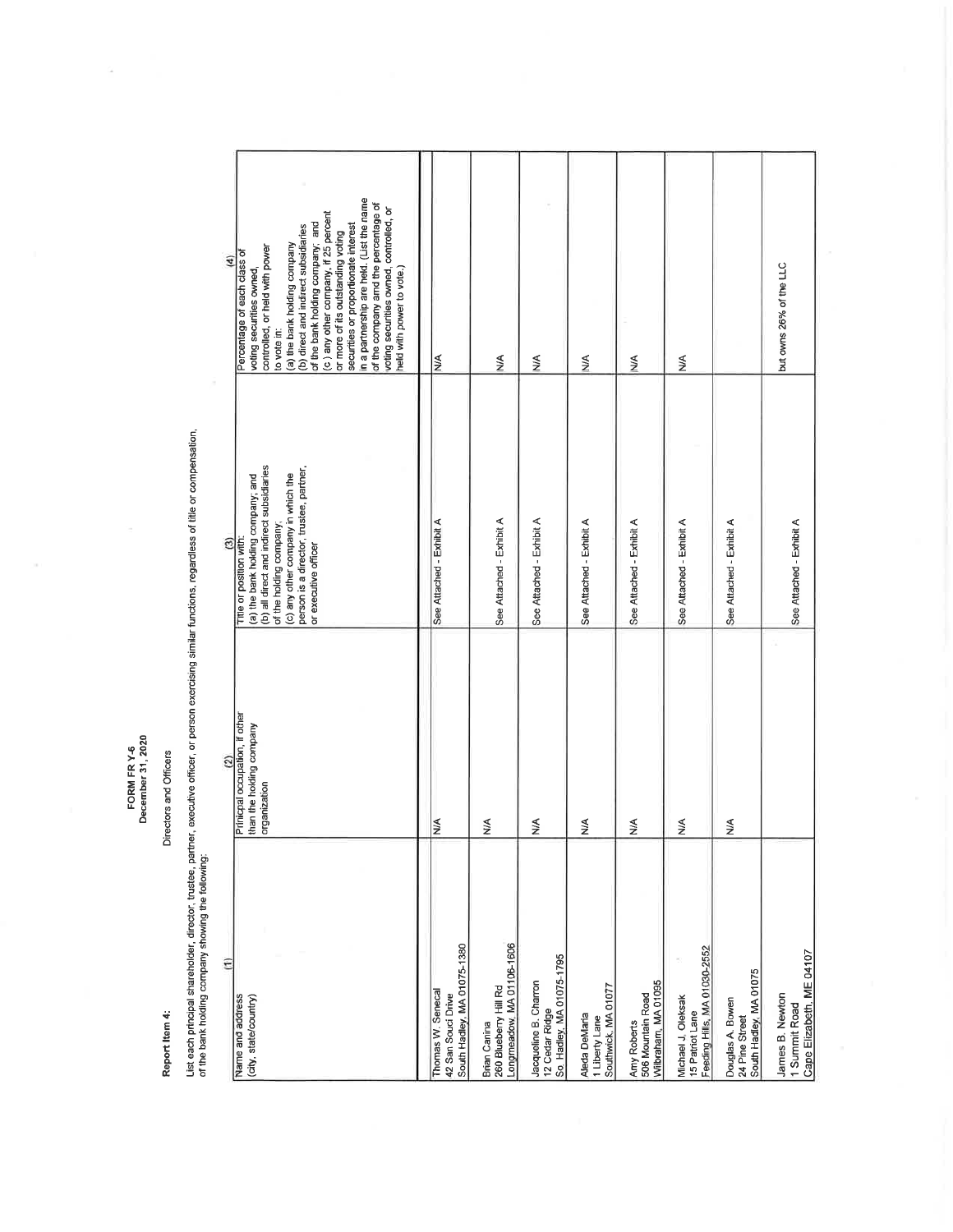FORM FR Y-6<br>December 31, 2020

Report Item 4:

Directors and Officers

List aach principal shareholder, director, trustee, partner, executive officer, or person exercising similar functions, regardless of title or compensation,<br>of the bank holding company showing the following:

| ε<br>Name and address                                                     | Prinicpal occupation, if other<br>ි      | Title or position with:<br>ම                                                                                                                                                                                      | Percentage of each class of<br>E                                                                                                                                                                                                                                                                                                                                                                                                                                       |
|---------------------------------------------------------------------------|------------------------------------------|-------------------------------------------------------------------------------------------------------------------------------------------------------------------------------------------------------------------|------------------------------------------------------------------------------------------------------------------------------------------------------------------------------------------------------------------------------------------------------------------------------------------------------------------------------------------------------------------------------------------------------------------------------------------------------------------------|
| (city state/country)                                                      | than the holding company<br>organization | (b) all direct and indirect subsidiaries<br>person is a director, trustee, partner,<br>(c) any other company in which the<br>(a) the bank holding company; and<br>of the holding company;<br>or executive officer | in a partnership are held. (List the name<br>of the company amd the percentage of<br>voting securities owned, controlled, or<br>(c) any other company, if 25 percent<br>of the bank holding company; and<br>(b) direct and indirect subsidiaries<br>securities or proportionate interest<br>or more of its outstanding voting<br>(a) the bank holding company<br>controlled, or held with power<br>voting securities owned<br>held with power to vote.)<br>to vote in: |
| South Hadley, MA 01075-1380<br>Thomas W. Senecal<br>42 San Souci Drive    | NA                                       | See Attached - Exhibit A                                                                                                                                                                                          | $\frac{4}{2}$                                                                                                                                                                                                                                                                                                                                                                                                                                                          |
| Longmeadow, MA 01106-1606<br>260 Blueberry Hill Rd<br><b>Brian Canina</b> | $\frac{4}{2}$                            | See Attached - Exhibit A                                                                                                                                                                                          | ≸                                                                                                                                                                                                                                                                                                                                                                                                                                                                      |
| So. Hadley, MA 01075-1795<br>Jacqueline B. Charron<br>12 Cedar Ridge      | $\frac{1}{2}$                            | See Attached - Exhibit A                                                                                                                                                                                          | $\leq$                                                                                                                                                                                                                                                                                                                                                                                                                                                                 |
| Southwick, MA 01077<br>Aleda DeMaria<br>1 Liberty Lane                    | ≦                                        | See Attached - Exhibit A                                                                                                                                                                                          | ≸                                                                                                                                                                                                                                                                                                                                                                                                                                                                      |
| Wilbraham, MA 01095<br>506 Mountain Road<br>Amy Roberts                   | ≸                                        | See Attached - Exhibit A                                                                                                                                                                                          | ≸                                                                                                                                                                                                                                                                                                                                                                                                                                                                      |
| Feeding Hills, MA 01030-2552<br>Michael J. Oleksak<br>15 Patriot Lane     | $\frac{1}{2}$                            | See Attached - Exhibit A                                                                                                                                                                                          | $\stackrel{\leq}{\geq}$                                                                                                                                                                                                                                                                                                                                                                                                                                                |
| South Hadley, MA 01075<br>Douglas A. Bowen<br>24 Pine Street              | ≸                                        | See Attached - Exhibit A                                                                                                                                                                                          |                                                                                                                                                                                                                                                                                                                                                                                                                                                                        |
| Cape Elizabeth, ME 04107<br>James B. Newton<br>1 Summit Road              |                                          | See Attached - Exhibit A                                                                                                                                                                                          | but owns 26% of the LLC                                                                                                                                                                                                                                                                                                                                                                                                                                                |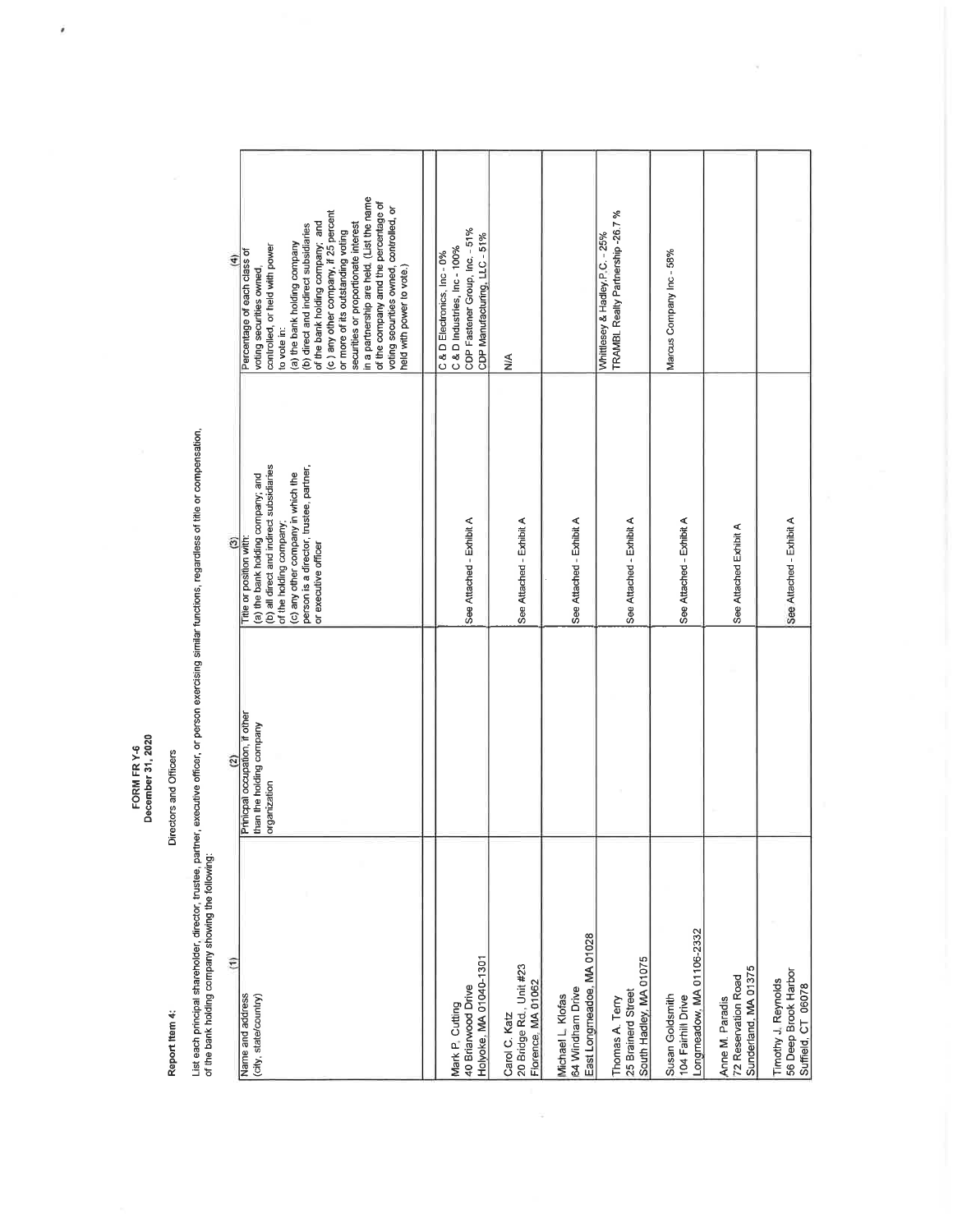FORM FR Y-6<br>December 31, 2020

 $\tilde{\epsilon}$ 

Report Item 4:

Directors and Officers

List each principal shareholder, director, trustee, partner, executive officer, or person exercising similar functions, regardless of title or compensation,<br>of the bank holding company showing the following:

| E                      | in a partnership are held. (List the name<br>of the company amd the percentage of<br>voting securities owned, controlled, or<br>(c) any other company, if 25 percent<br>of the bank holding company; and<br>(b) direct and indirect subsidiaries<br>securities or proportionate interest<br>or more of its outstanding voting<br>(a) the bank holding company<br>controlled, or held with power<br>Percentage of each class of<br>held with power to vote.)<br>voting securities owned,<br>to vote in: | CDP Fastener Group, Inc. - 51%<br>CDP Manufacturing, LLC - 51%<br>C & D Industries, Inc - 100%<br>C & D Electronics, Inc-0% | ≦<br>≥                                                         |                                                                    | TRAMBL Realty Partnership -26.7%<br>Whittlesey & Hadley P.C. - 25% | Marcus Company Inc - 58%                                           |                                                                |                                                                   |
|------------------------|--------------------------------------------------------------------------------------------------------------------------------------------------------------------------------------------------------------------------------------------------------------------------------------------------------------------------------------------------------------------------------------------------------------------------------------------------------------------------------------------------------|-----------------------------------------------------------------------------------------------------------------------------|----------------------------------------------------------------|--------------------------------------------------------------------|--------------------------------------------------------------------|--------------------------------------------------------------------|----------------------------------------------------------------|-------------------------------------------------------------------|
| $\widehat{c}$          | (b) all direct and indirect subsidiaries<br>person is a director, trustee, partner,<br>(c) any other company in which the<br>(a) the bank holding company; and<br>of the holding company;<br>Trite or position with:<br>or executive officer                                                                                                                                                                                                                                                           | See Attached - Exhibit A                                                                                                    | See Attached - Exhibit A                                       | See Attached - Exhibit A                                           | See Attached - Exhibit A                                           | See Attached - Exhibit A                                           | See Attached Exhibit A                                         | See Attached - Exhibit A                                          |
| $\widehat{\mathbf{c}}$ | Prinicpal occupation, if other<br>than the holding company<br>organization                                                                                                                                                                                                                                                                                                                                                                                                                             |                                                                                                                             |                                                                |                                                                    |                                                                    |                                                                    |                                                                |                                                                   |
| Ξ                      | Name and address<br>(city, state/country)                                                                                                                                                                                                                                                                                                                                                                                                                                                              | Holyoke, MA 01040-1301<br>40 Briarwood Drive<br>Mark P. Cutting                                                             | 20 Bridge Rd., Unit #23<br>Florence, MA 01062<br>Carol C. Katz | East Longmeadoe, MA 01028<br>64 Windham Drive<br>Michael L. Klofas | South Hadley, MA 01075<br>25 Brainerd Street<br>Thomas A. Terry    | Longmeadow, MA 01106-2332<br>Susan Goldsmith<br>104 Fairhill Drive | Sunderland, MA 01375<br>72 Reservation Road<br>Anne M. Paradis | 56 Deep Brook Harbor<br>Timothy J. Reynolds<br>Suffield, CT 06078 |

 $\overline{\chi}$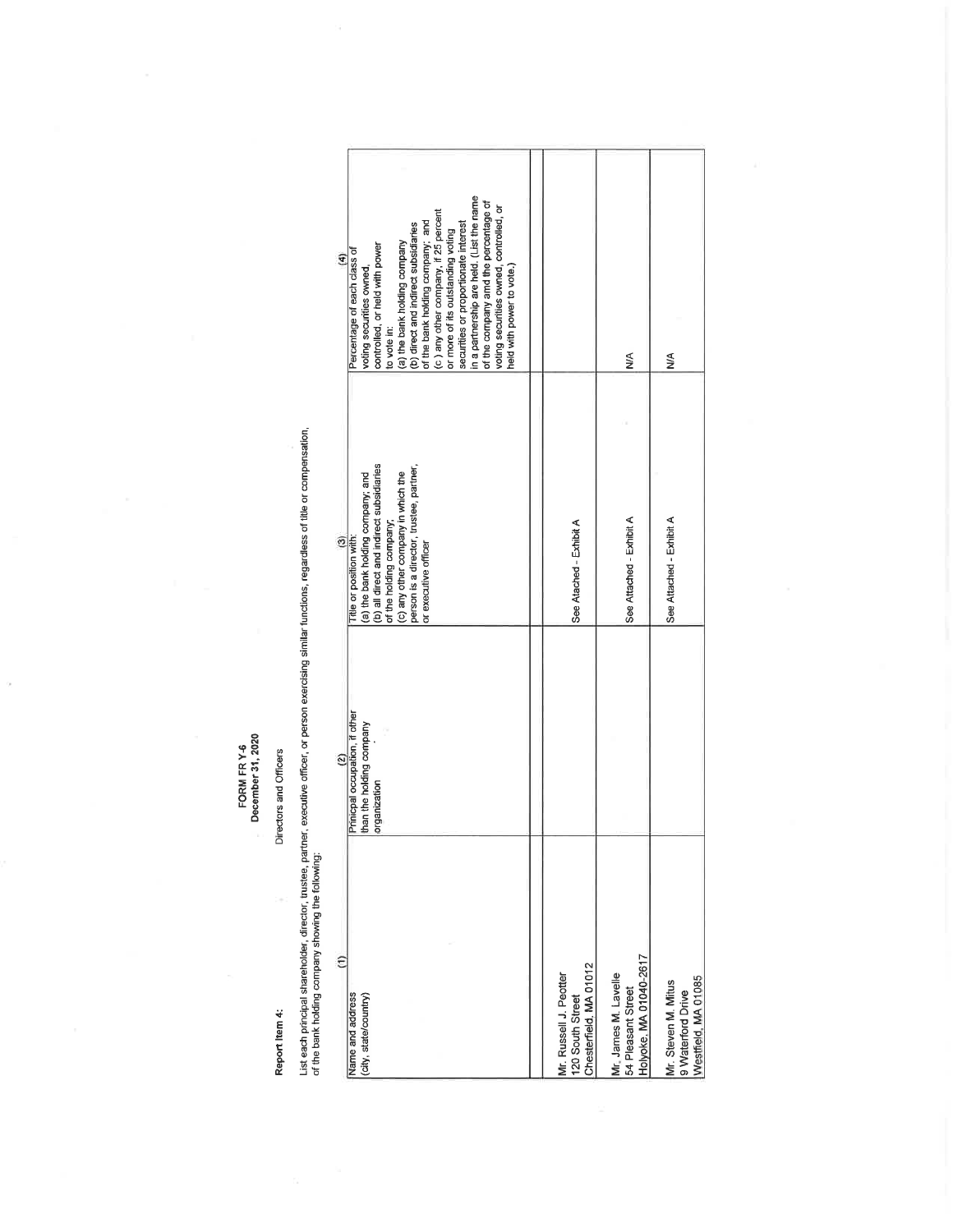FORM FR Y-6<br>December 31, 2020

 $\overline{\phantom{a}}$ 

Report Item 4:

# Directors and Officers

Ļ

List each principal shareholder, director, trustee, partner, executive officer, or person exercising similar functions, regardless of title or compensation,<br>of the bank holding company showing the following: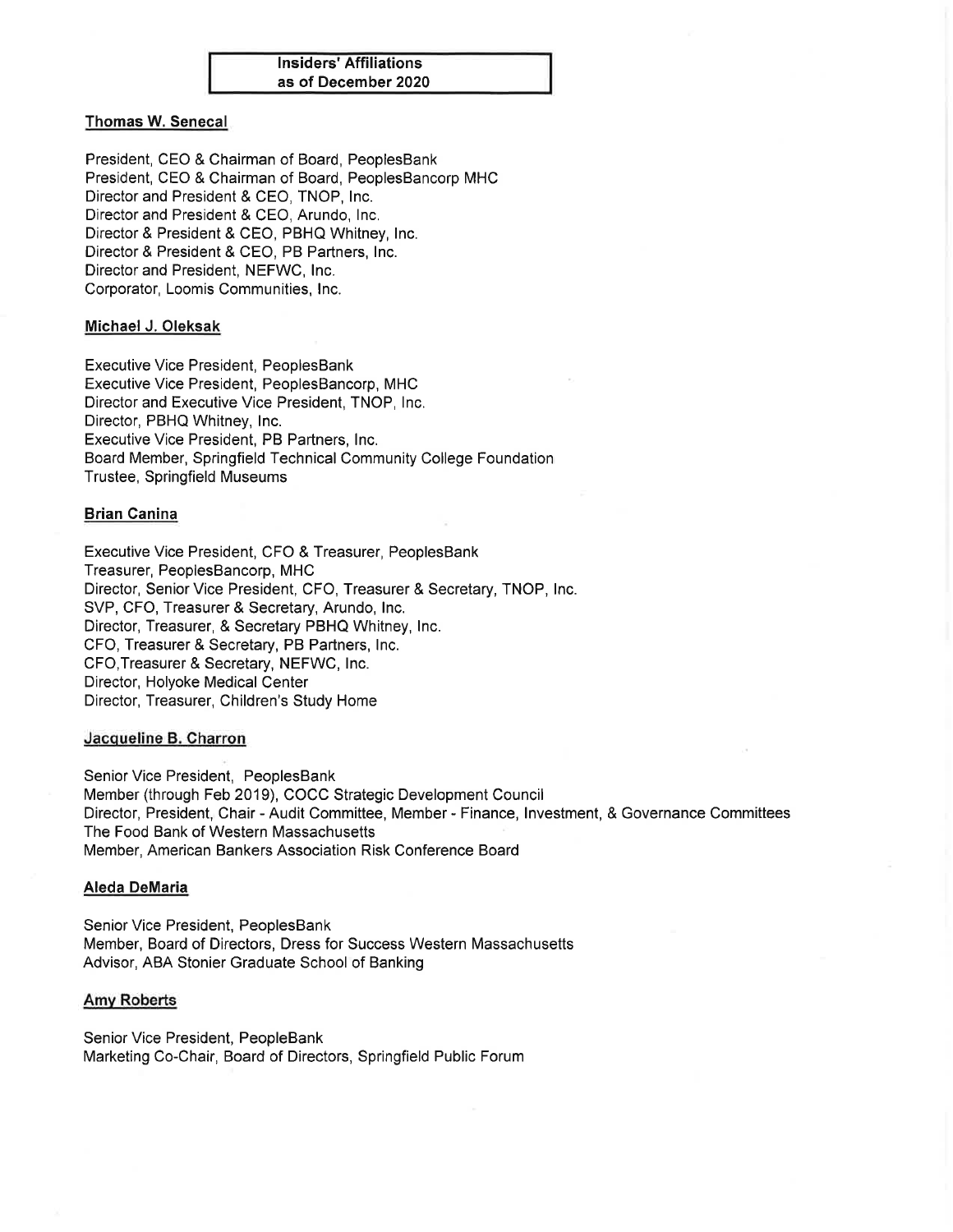

# **Thomas W. Senecal**

President, CEO & Chairman of Board, PeoplesBank President, CEO & Chairman of Board, PeoplesBancorp MHC Director and President & CEO, TNOP, Inc. Director and President & CEO, Arundo, Inc. Director & President & CEO, PBHQ Whitney, Inc. Director & President & CEO, PB Partners, Inc. Director and President, NEFWC, Inc. Corporator, Loomis Communities, Inc.

# Michael J. Oleksak

**Executive Vice President, PeoplesBank** Executive Vice President, PeoplesBancorp, MHC Director and Executive Vice President, TNOP, Inc. Director, PBHQ Whitney, Inc. Executive Vice President, PB Partners, Inc. Board Member, Springfield Technical Community College Foundation **Trustee, Springfield Museums** 

# **Brian Canina**

Executive Vice President, CFO & Treasurer, PeoplesBank Treasurer, PeoplesBancorp, MHC Director, Senior Vice President, CFO, Treasurer & Secretary, TNOP, Inc. SVP, CFO, Treasurer & Secretary, Arundo, Inc. Director, Treasurer, & Secretary PBHQ Whitney, Inc. CFO. Treasurer & Secretary, PB Partners, Inc. CFO, Treasurer & Secretary, NEFWC, Inc. Director, Holyoke Medical Center Director, Treasurer, Children's Study Home

# Jacqueline B. Charron

Senior Vice President, PeoplesBank Member (through Feb 2019), COCC Strategic Development Council Director, President, Chair - Audit Committee, Member - Finance, Investment, & Governance Committees The Food Bank of Western Massachusetts Member, American Bankers Association Risk Conference Board

# **Aleda DeMaria**

Senior Vice President, PeoplesBank Member, Board of Directors, Dress for Success Western Massachusetts Advisor, ABA Stonier Graduate School of Banking

# **Amy Roberts**

Senior Vice President, PeopleBank Marketing Co-Chair, Board of Directors, Springfield Public Forum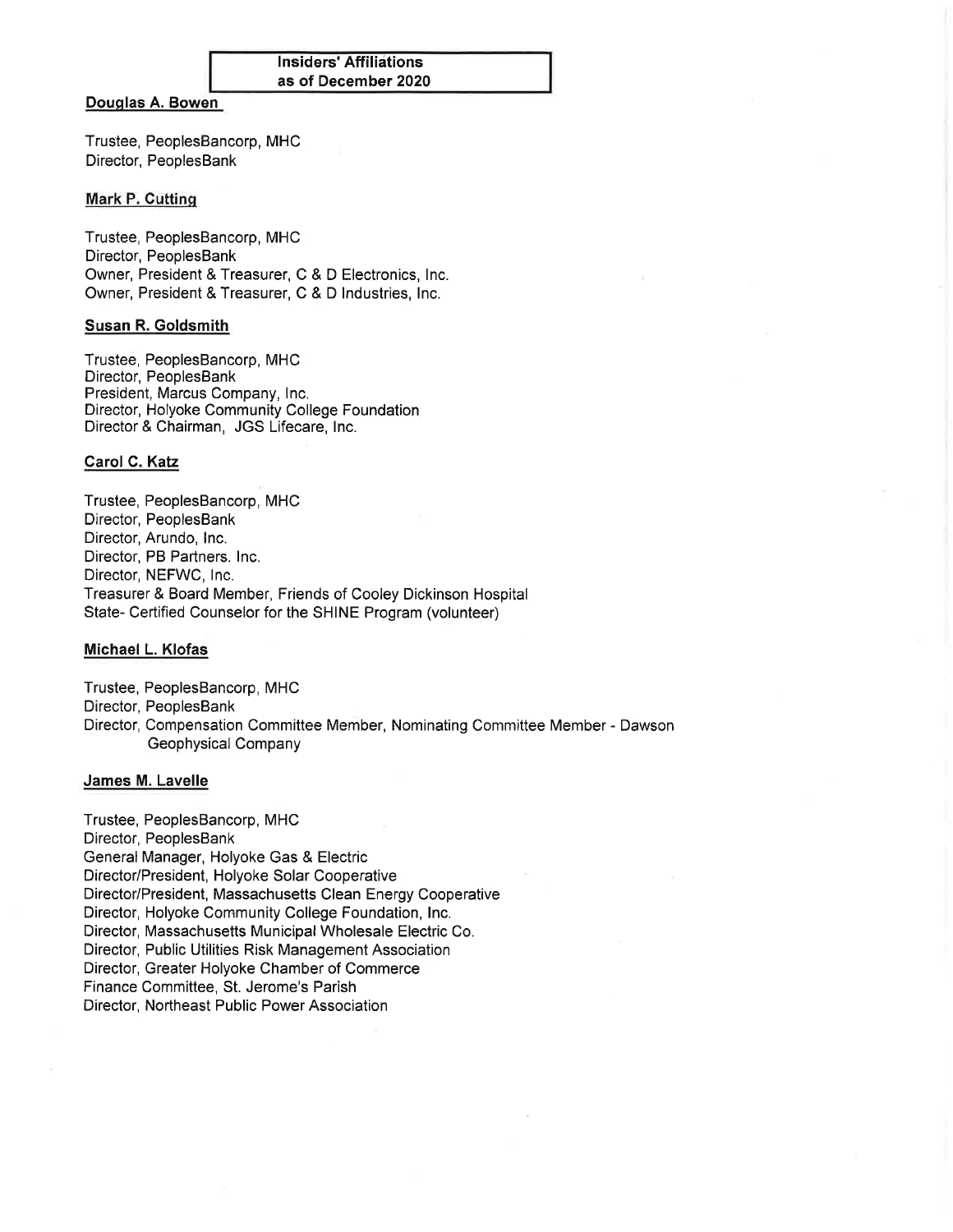| <b>Insiders' Affiliations</b> |
|-------------------------------|
| as of December 2020           |

# Douglas A. Bowen

Trustee, PeoplesBancorp, MHC Director, PeoplesBank

# **Mark P. Cutting**

Trustee, PeoplesBancorp, MHC Director, PeoplesBank Owner, President & Treasurer, C & D Electronics, Inc. Owner, President & Treasurer, C & D Industries, Inc.

# Susan R. Goldsmith

Trustee, PeoplesBancorp, MHC Director, PeoplesBank President, Marcus Company, Inc. Director, Holyoke Community College Foundation Director & Chairman, JGS Lifecare, Inc.

#### Carol C. Katz

Trustee, PeoplesBancorp, MHC Director, PeoplesBank Director, Arundo, Inc. Director, PB Partners. Inc. Director, NEFWC, Inc. Treasurer & Board Member, Friends of Cooley Dickinson Hospital State- Certified Counselor for the SHINE Program (volunteer)

# Michael L. Klofas

Trustee, PeoplesBancorp, MHC Director, PeoplesBank Director, Compensation Committee Member, Nominating Committee Member - Dawson Geophysical Company

#### James M. Lavelle

Trustee, PeoplesBancorp, MHC Director, PeoplesBank General Manager, Holyoke Gas & Electric Director/President, Holyoke Solar Cooperative Director/President, Massachusetts Clean Energy Cooperative Director, Holyoke Community College Foundation, Inc. Director, Massachusetts Municipal Wholesale Electric Co. Director, Public Utilities Risk Management Association Director, Greater Holyoke Chamber of Commerce Finance Committee, St. Jerome's Parish Director, Northeast Public Power Association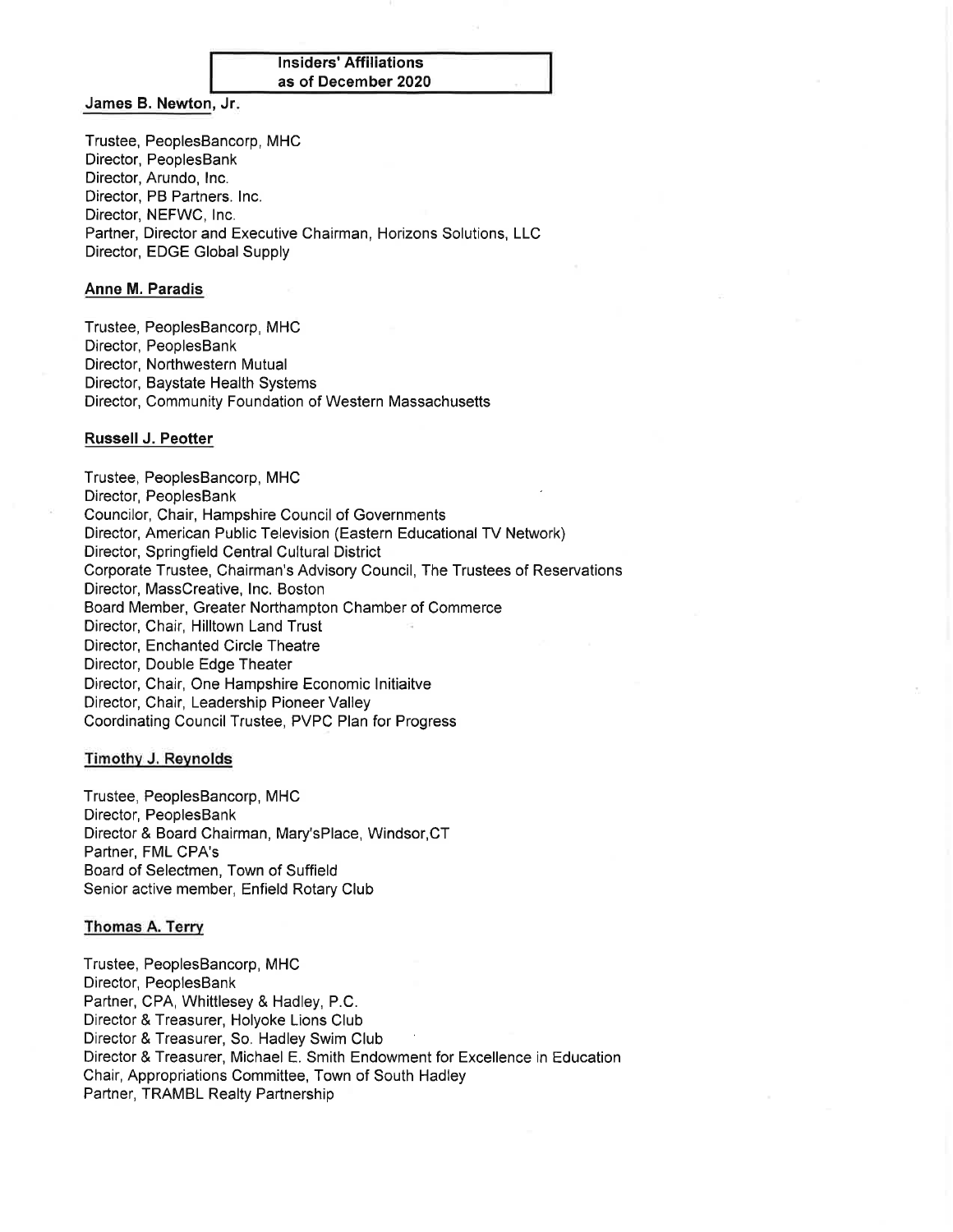| Insiders' Affiliations |  |
|------------------------|--|
| as of December 2020    |  |

# James B. Newton, Jr.

Trustee, PeoplesBancorp, MHC Director, PeoplesBank Director, Arundo, Inc. Director, PB Partners. Inc. Director, NEFWC, Inc. Partner, Director and Executive Chairman, Horizons Solutions, LLC Director, EDGE Global Supply

#### **Anne M. Paradis**

Trustee, PeoplesBancorp, MHC Director, PeoplesBank Director, Northwestern Mutual Director, Baystate Health Systems Director, Community Foundation of Western Massachusetts

#### Russell J. Peotter

Trustee, PeoplesBancorp, MHC Director, PeoplesBank Councilor, Chair, Hampshire Council of Governments Director, American Public Television (Eastern Educational TV Network) Director, Springfield Central Cultural District Corporate Trustee, Chairman's Advisory Council, The Trustees of Reservations Director, MassCreative, Inc. Boston Board Member, Greater Northampton Chamber of Commerce Director, Chair, Hilltown Land Trust Director, Enchanted Circle Theatre Director, Double Edge Theater Director, Chair, One Hampshire Economic Initiaitve Director, Chair, Leadership Pioneer Valley Coordinating Council Trustee, PVPC Plan for Progress

#### **Timothy J. Reynolds**

Trustee, PeoplesBancorp, MHC Director, PeoplesBank Director & Board Chairman, Mary'sPlace, Windsor, CT Partner, FML CPA's Board of Selectmen, Town of Suffield Senior active member, Enfield Rotary Club

#### Thomas A. Terry

Trustee, PeoplesBancorp, MHC Director, PeoplesBank Partner, CPA, Whittlesey & Hadley, P.C. Director & Treasurer, Holyoke Lions Club Director & Treasurer, So. Hadley Swim Club Director & Treasurer, Michael E. Smith Endowment for Excellence in Education Chair, Appropriations Committee, Town of South Hadley Partner, TRAMBL Realty Partnership